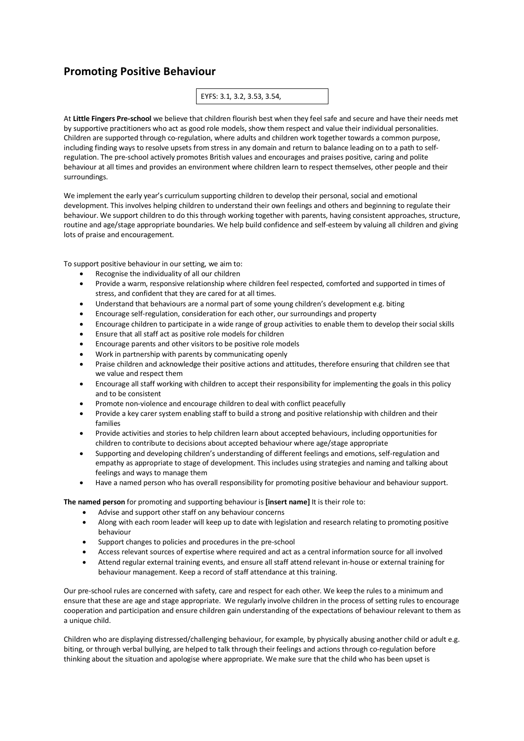## **Promoting Positive Behaviour**

EYFS: 3.1, 3.2, 3.53, 3.54,

At **Little Fingers Pre-school** we believe that children flourish best when they feel safe and secure and have their needs met by supportive practitioners who act as good role models, show them respect and value their individual personalities. Children are supported through co-regulation, where adults and children work together towards a common purpose, including finding ways to resolve upsets from stress in any domain and return to balance leading on to a path to selfregulation. The pre-school actively promotes British values and encourages and praises positive, caring and polite behaviour at all times and provides an environment where children learn to respect themselves, other people and their surroundings.

We implement the early year's curriculum supporting children to develop their personal, social and emotional development. This involves helping children to understand their own feelings and others and beginning to regulate their behaviour. We support children to do this through working together with parents, having consistent approaches, structure, routine and age/stage appropriate boundaries. We help build confidence and self-esteem by valuing all children and giving lots of praise and encouragement.

To support positive behaviour in our setting, we aim to:

- Recognise the individuality of all our children
- Provide a warm, responsive relationship where children feel respected, comforted and supported in times of stress, and confident that they are cared for at all times.
- Understand that behaviours are a normal part of some young children's development e.g. biting
- Encourage self-regulation, consideration for each other, our surroundings and property
- Encourage children to participate in a wide range of group activities to enable them to develop their social skills
- Ensure that all staff act as positive role models for children
- Encourage parents and other visitors to be positive role models
- Work in partnership with parents by communicating openly
- Praise children and acknowledge their positive actions and attitudes, therefore ensuring that children see that we value and respect them
- Encourage all staff working with children to accept their responsibility for implementing the goals in this policy and to be consistent
- Promote non-violence and encourage children to deal with conflict peacefully
- Provide a key carer system enabling staff to build a strong and positive relationship with children and their families
- Provide activities and stories to help children learn about accepted behaviours, including opportunities for children to contribute to decisions about accepted behaviour where age/stage appropriate
- Supporting and developing children's understanding of different feelings and emotions, self-regulation and empathy as appropriate to stage of development. This includes using strategies and naming and talking about feelings and ways to manage them
- Have a named person who has overall responsibility for promoting positive behaviour and behaviour support.

**The named person** for promoting and supporting behaviour is **[insert name]** It is their role to:

- Advise and support other staff on any behaviour concerns
- Along with each room leader will keep up to date with legislation and research relating to promoting positive behaviour
- Support changes to policies and procedures in the pre-school
- Access relevant sources of expertise where required and act as a central information source for all involved
- Attend regular external training events, and ensure all staff attend relevant in-house or external training for behaviour management. Keep a record of staff attendance at this training.

Our pre-school rules are concerned with safety, care and respect for each other. We keep the rules to a minimum and ensure that these are age and stage appropriate. We regularly involve children in the process of setting rules to encourage cooperation and participation and ensure children gain understanding of the expectations of behaviour relevant to them as a unique child.

Children who are displaying distressed/challenging behaviour, for example, by physically abusing another child or adult e.g. biting, or through verbal bullying, are helped to talk through their feelings and actions through co-regulation before thinking about the situation and apologise where appropriate. We make sure that the child who has been upset is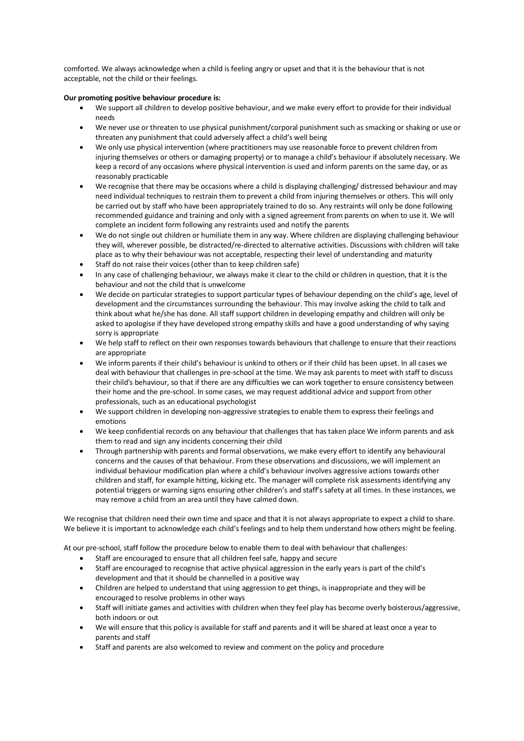comforted. We always acknowledge when a child is feeling angry or upset and that it is the behaviour that is not acceptable, not the child or their feelings.

## **Our promoting positive behaviour procedure is:**

- We support all children to develop positive behaviour, and we make every effort to provide for their individual needs
- We never use or threaten to use physical punishment/corporal punishment such as smacking or shaking or use or threaten any punishment that could adversely affect a child's well being
- We only use physical intervention (where practitioners may use reasonable force to prevent children from injuring themselves or others or damaging property) or to manage a child's behaviour if absolutely necessary. We keep a record of any occasions where physical intervention is used and inform parents on the same day, or as reasonably practicable
- We recognise that there may be occasions where a child is displaying challenging/ distressed behaviour and may need individual techniques to restrain them to prevent a child from injuring themselves or others. This will only be carried out by staff who have been appropriately trained to do so. Any restraints will only be done following recommended guidance and training and only with a signed agreement from parents on when to use it. We will complete an incident form following any restraints used and notify the parents
- We do not single out children or humiliate them in any way. Where children are displaying challenging behaviour they will, wherever possible, be distracted/re-directed to alternative activities. Discussions with children will take place as to why their behaviour was not acceptable, respecting their level of understanding and maturity
- Staff do not raise their voices (other than to keep children safe)
- In any case of challenging behaviour, we always make it clear to the child or children in question, that it is the behaviour and not the child that is unwelcome
- We decide on particular strategies to support particular types of behaviour depending on the child's age, level of development and the circumstances surrounding the behaviour. This may involve asking the child to talk and think about what he/she has done. All staff support children in developing empathy and children will only be asked to apologise if they have developed strong empathy skills and have a good understanding of why saying sorry is appropriate
- We help staff to reflect on their own responses towards behaviours that challenge to ensure that their reactions are appropriate
- We inform parents if their child's behaviour is unkind to others or if their child has been upset. In all cases we deal with behaviour that challenges in pre-school at the time. We may ask parents to meet with staff to discuss their child's behaviour, so that if there are any difficulties we can work together to ensure consistency between their home and the pre-school. In some cases, we may request additional advice and support from other professionals, such as an educational psychologist
- We support children in developing non-aggressive strategies to enable them to express their feelings and emotions
- We keep confidential records on any behaviour that challenges that has taken place We inform parents and ask them to read and sign any incidents concerning their child
- Through partnership with parents and formal observations, we make every effort to identify any behavioural concerns and the causes of that behaviour. From these observations and discussions, we will implement an individual behaviour modification plan where a child's behaviour involves aggressive actions towards other children and staff, for example hitting, kicking etc. The manager will complete risk assessments identifying any potential triggers or warning signs ensuring other children's and staff's safety at all times. In these instances, we may remove a child from an area until they have calmed down.

We recognise that children need their own time and space and that it is not always appropriate to expect a child to share. We believe it is important to acknowledge each child's feelings and to help them understand how others might be feeling.

At our pre-school, staff follow the procedure below to enable them to deal with behaviour that challenges:

- Staff are encouraged to ensure that all children feel safe, happy and secure
- Staff are encouraged to recognise that active physical aggression in the early years is part of the child's development and that it should be channelled in a positive way
- Children are helped to understand that using aggression to get things, is inappropriate and they will be encouraged to resolve problems in other ways
- Staff will initiate games and activities with children when they feel play has become overly boisterous/aggressive, both indoors or out
- We will ensure that this policy is available for staff and parents and it will be shared at least once a year to parents and staff
- Staff and parents are also welcomed to review and comment on the policy and procedure